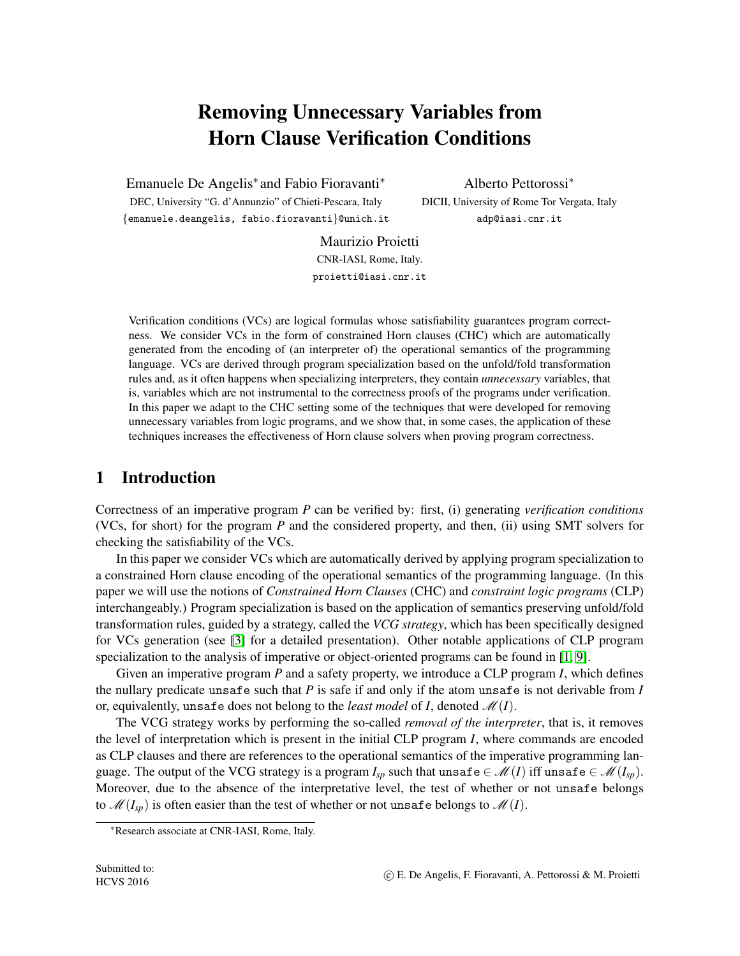# Removing Unnecessary Variables from Horn Clause Verification Conditions

Emanuele De Angelis<sup>∗</sup> and Fabio Fioravanti<sup>∗</sup>

DEC, University "G. d'Annunzio" of Chieti-Pescara, Italy {emanuele.deangelis, fabio.fioravanti}@unich.it

Alberto Pettorossi<sup>∗</sup> DICII, University of Rome Tor Vergata, Italy adp@iasi.cnr.it

Maurizio Proietti CNR-IASI, Rome, Italy. proietti@iasi.cnr.it

Verification conditions (VCs) are logical formulas whose satisfiability guarantees program correctness. We consider VCs in the form of constrained Horn clauses (CHC) which are automatically generated from the encoding of (an interpreter of) the operational semantics of the programming language. VCs are derived through program specialization based on the unfold/fold transformation rules and, as it often happens when specializing interpreters, they contain *unnecessary* variables, that is, variables which are not instrumental to the correctness proofs of the programs under verification. In this paper we adapt to the CHC setting some of the techniques that were developed for removing unnecessary variables from logic programs, and we show that, in some cases, the application of these techniques increases the effectiveness of Horn clause solvers when proving program correctness.

## 1 Introduction

Correctness of an imperative program *P* can be verified by: first, (i) generating *verification conditions* (VCs, for short) for the program *P* and the considered property, and then, (ii) using SMT solvers for checking the satisfiability of the VCs.

In this paper we consider VCs which are automatically derived by applying program specialization to a constrained Horn clause encoding of the operational semantics of the programming language. (In this paper we will use the notions of *Constrained Horn Clauses* (CHC) and *constraint logic programs* (CLP) interchangeably.) Program specialization is based on the application of semantics preserving unfold/fold transformation rules, guided by a strategy, called the *VCG strategy*, which has been specifically designed for VCs generation (see [\[3\]](#page-6-0) for a detailed presentation). Other notable applications of CLP program specialization to the analysis of imperative or object-oriented programs can be found in [\[1,](#page-6-1) [9\]](#page-6-2).

Given an imperative program *P* and a safety property, we introduce a CLP program *I*, which defines the nullary predicate unsafe such that *P* is safe if and only if the atom unsafe is not derivable from *I* or, equivalently, unsafe does not belong to the *least model* of *I*, denoted  $\mathcal{M}(I)$ .

The VCG strategy works by performing the so-called *removal of the interpreter*, that is, it removes the level of interpretation which is present in the initial CLP program *I*, where commands are encoded as CLP clauses and there are references to the operational semantics of the imperative programming language. The output of the VCG strategy is a program  $I_{sp}$  such that unsafe  $\in \mathcal{M}(I)$  iff unsafe  $\in \mathcal{M}(I_{sp})$ . Moreover, due to the absence of the interpretative level, the test of whether or not unsafe belongs to  $\mathcal{M}(I_{\text{sp}})$  is often easier than the test of whether or not unsafe belongs to  $\mathcal{M}(I)$ .

<sup>∗</sup>Research associate at CNR-IASI, Rome, Italy.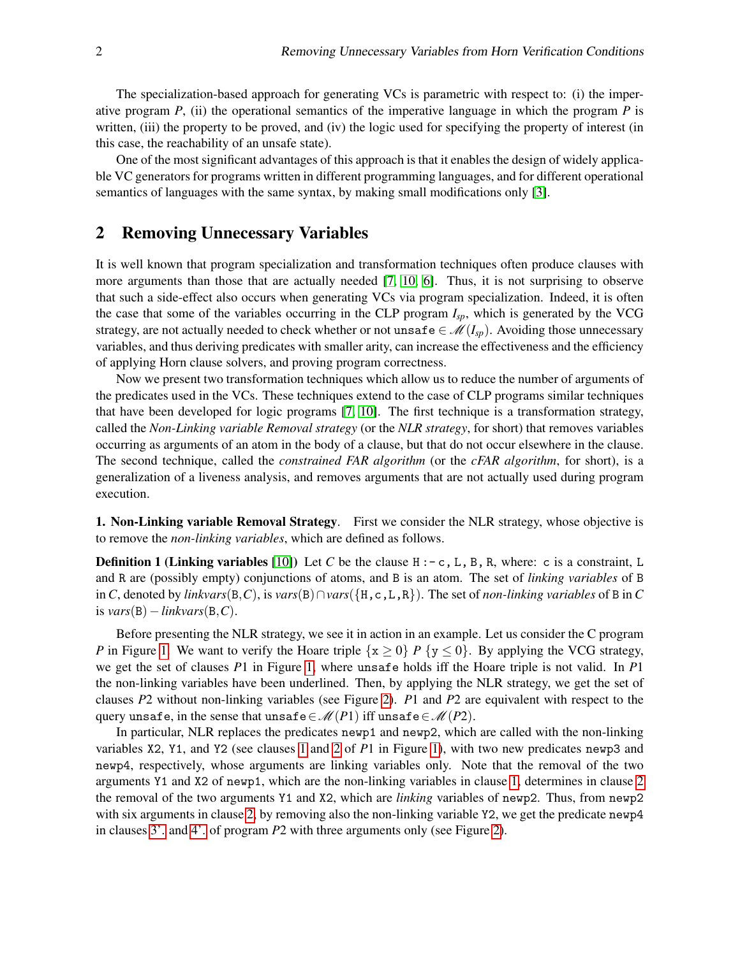The specialization-based approach for generating VCs is parametric with respect to: (i) the imperative program  $P$ , (ii) the operational semantics of the imperative language in which the program  $P$  is written, (iii) the property to be proved, and (iv) the logic used for specifying the property of interest (in this case, the reachability of an unsafe state).

One of the most significant advantages of this approach is that it enables the design of widely applicable VC generators for programs written in different programming languages, and for different operational semantics of languages with the same syntax, by making small modifications only [\[3\]](#page-6-0).

#### <span id="page-1-0"></span>2 Removing Unnecessary Variables

It is well known that program specialization and transformation techniques often produce clauses with more arguments than those that are actually needed [\[7,](#page-6-3) [10,](#page-6-4) [6\]](#page-6-5). Thus, it is not surprising to observe that such a side-effect also occurs when generating VCs via program specialization. Indeed, it is often the case that some of the variables occurring in the CLP program *Isp*, which is generated by the VCG strategy, are not actually needed to check whether or not unsafe  $\in \mathcal{M}(I_{sp})$ . Avoiding those unnecessary variables, and thus deriving predicates with smaller arity, can increase the effectiveness and the efficiency of applying Horn clause solvers, and proving program correctness.

Now we present two transformation techniques which allow us to reduce the number of arguments of the predicates used in the VCs. These techniques extend to the case of CLP programs similar techniques that have been developed for logic programs [\[7,](#page-6-3) [10\]](#page-6-4). The first technique is a transformation strategy, called the *Non-Linking variable Removal strategy* (or the *NLR strategy*, for short) that removes variables occurring as arguments of an atom in the body of a clause, but that do not occur elsewhere in the clause. The second technique, called the *constrained FAR algorithm* (or the *cFAR algorithm*, for short), is a generalization of a liveness analysis, and removes arguments that are not actually used during program execution.

1. Non-Linking variable Removal Strategy. First we consider the NLR strategy, whose objective is to remove the *non-linking variables*, which are defined as follows.

**Definition 1 (Linking variables** [\[10\]](#page-6-4)) Let C be the clause  $H : -c$ , L, B, R, where: c is a constraint, L and R are (possibly empty) conjunctions of atoms, and B is an atom. The set of *linking variables* of B in *C*, denoted by *linkvars*(B,*C*), is *vars*(B)∩*vars*({H,c,L,R}). The set of *non-linking variables* of B in *C* is *vars*(B)−*linkvars*(B,*C*).

Before presenting the NLR strategy, we see it in action in an example. Let us consider the C program *P* in Figure [1.](#page-2-0) We want to verify the Hoare triple  $\{x \ge 0\}$  *P*  $\{y \le 0\}$ . By applying the VCG strategy, we get the set of clauses *P*1 in Figure [1,](#page-2-0) where unsafe holds iff the Hoare triple is not valid. In *P*1 the non-linking variables have been underlined. Then, by applying the NLR strategy, we get the set of clauses *P*2 without non-linking variables (see Figure [2\)](#page-3-0). *P*1 and *P*2 are equivalent with respect to the query unsafe, in the sense that unsafe  $\in \mathcal{M}(P1)$  iff unsafe  $\in \mathcal{M}(P2)$ .

In particular, NLR replaces the predicates newp1 and newp2, which are called with the non-linking variables X2, Y1, and Y2 (see clauses [1](#page-2-1) and [2](#page-2-2) of *P*1 in Figure [1\)](#page-2-0), with two new predicates newp3 and newp4, respectively, whose arguments are linking variables only. Note that the removal of the two arguments Y1 and X2 of newp1, which are the non-linking variables in clause [1,](#page-2-1) determines in clause [2](#page-2-2) the removal of the two arguments Y1 and X2, which are *linking* variables of newp2. Thus, from newp2 with six arguments in clause [2,](#page-2-2) by removing also the non-linking variable Y2, we get the predicate newp4 in clauses [3'.](#page-3-1) and [4'.](#page-3-2) of program *P*2 with three arguments only (see Figure [2\)](#page-3-0).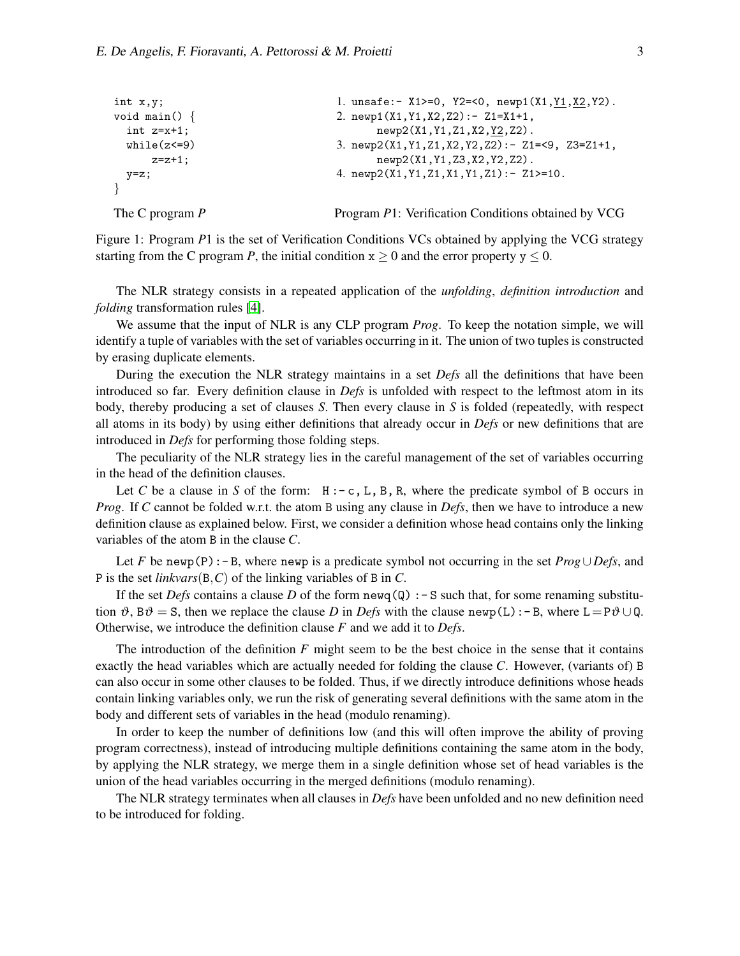```
int x,y;
void main() {
  int z=x+1;
  while(z < = 9)z=z+1;
  y=z;
}
The C program P
                                     1. unsafe:- X1>=0, Y2=<0, newp1(X1,Y1,X2,Y2).
                                     2. newp1(X1,Y1,X2,Z2):- Z1=X1+1,
                                            newp2(X1, Y1, Z1, X2, Y2, Z2).
                                     3. newp2(X1,Y1,Z1,X2,Y2,Z2):- Z1=<9, Z3=Z1+1,
                                            newp2(X1,Y1,Z3,X2,Y2,Z2).
                                     4. newp2(X1,Y1,Z1,X1,Y1,Z1):- Z1>=10.
                                     Program P1: Verification Conditions obtained by VCG
```
<span id="page-2-0"></span>Figure 1: Program *P*1 is the set of Verification Conditions VCs obtained by applying the VCG strategy starting from the C program *P*, the initial condition  $x \ge 0$  and the error property  $y \le 0$ .

The NLR strategy consists in a repeated application of the *unfolding*, *definition introduction* and *folding* transformation rules [\[4\]](#page-6-6).

We assume that the input of NLR is any CLP program *Prog*. To keep the notation simple, we will identify a tuple of variables with the set of variables occurring in it. The union of two tuples is constructed by erasing duplicate elements.

During the execution the NLR strategy maintains in a set *Defs* all the definitions that have been introduced so far. Every definition clause in *Defs* is unfolded with respect to the leftmost atom in its body, thereby producing a set of clauses *S*. Then every clause in *S* is folded (repeatedly, with respect all atoms in its body) by using either definitions that already occur in *Defs* or new definitions that are introduced in *Defs* for performing those folding steps.

The peculiarity of the NLR strategy lies in the careful management of the set of variables occurring in the head of the definition clauses.

Let *C* be a clause in *S* of the form:  $H: -c, L, B, R$ , where the predicate symbol of *B* occurs in *Prog*. If *C* cannot be folded w.r.t. the atom B using any clause in *Defs*, then we have to introduce a new definition clause as explained below. First, we consider a definition whose head contains only the linking variables of the atom B in the clause *C*.

Let *F* be newp(P):- B, where newp is a predicate symbol not occurring in the set *Prog*∪ *Defs*, and P is the set *linkvars*(B,*C*) of the linking variables of B in *C*.

If the set *Defs* contains a clause *D* of the form newq( $Q$ ) : - S such that, for some renaming substitution  $\vartheta$ , B $\vartheta$  = S, then we replace the clause *D* in *Defs* with the clause newp(L):-B, where L=P $\vartheta \cup \mathbb{Q}$ . Otherwise, we introduce the definition clause *F* and we add it to *Defs*.

The introduction of the definition  $F$  might seem to be the best choice in the sense that it contains exactly the head variables which are actually needed for folding the clause *C*. However, (variants of) B can also occur in some other clauses to be folded. Thus, if we directly introduce definitions whose heads contain linking variables only, we run the risk of generating several definitions with the same atom in the body and different sets of variables in the head (modulo renaming).

In order to keep the number of definitions low (and this will often improve the ability of proving program correctness), instead of introducing multiple definitions containing the same atom in the body, by applying the NLR strategy, we merge them in a single definition whose set of head variables is the union of the head variables occurring in the merged definitions (modulo renaming).

The NLR strategy terminates when all clauses in *Defs* have been unfolded and no new definition need to be introduced for folding.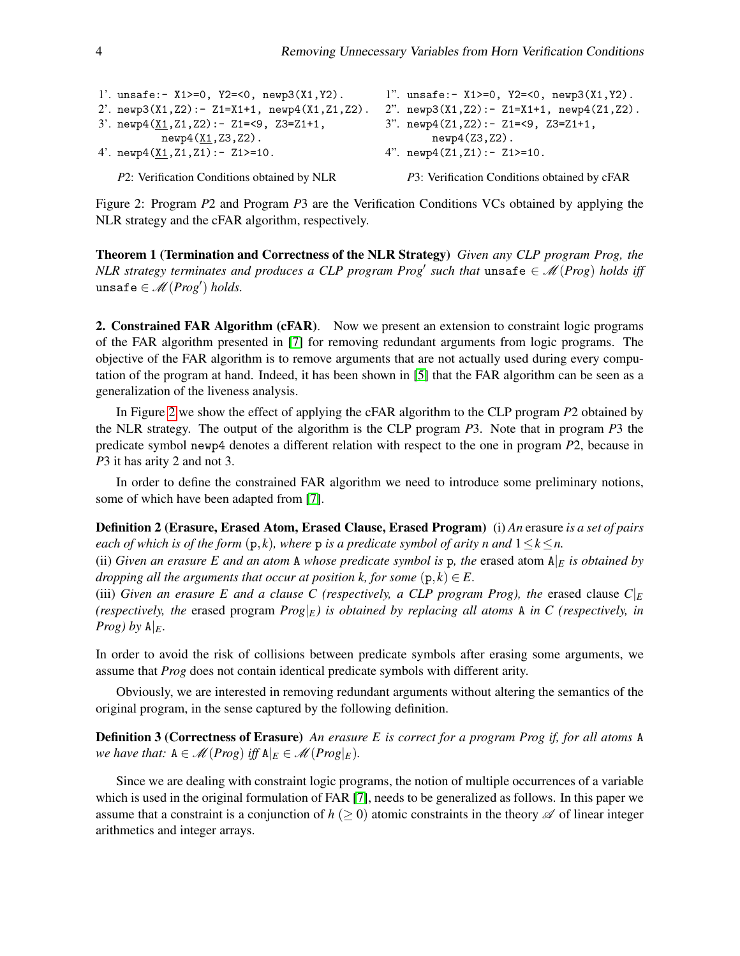<span id="page-3-1"></span>

| 1'. unsafe:- $X1>=0$ , $Y2=<0$ , $newp3(X1, Y2)$ .         | 1". unsafe:- $X1>=0$ , $Y2=<0$ , $newp3(X1, Y2)$ .     |  |  |
|------------------------------------------------------------|--------------------------------------------------------|--|--|
| 2'. $newp3(X1, Z2) := Z1 = X1 + 1$ , $newp4(X1, Z1, Z2)$ . | 2". $newp3(X1, Z2) := Z1 = X1 + 1$ , $newp4(Z1, Z2)$ . |  |  |
| 3'. $newp4(X1, Z1, Z2)$ : - Z1=<9, Z3=Z1+1,                | 3". $newp4(Z1, Z2) : -Z1=<9, Z3=Z1+1,$                 |  |  |
| $newp4(X1, Z3, Z2)$ .                                      | $newp4(Z3,Z2)$ .                                       |  |  |
| 4'. $newp4(X1, Z1, Z1)$ : - Z1>=10.                        | 4". $newp4(Z1, Z1) := Z1>=10$ .                        |  |  |
| P2: Verification Conditions obtained by NLR                | P3: Verification Conditions obtained by cFAR           |  |  |

<span id="page-3-2"></span><span id="page-3-0"></span>Figure 2: Program *P*2 and Program *P*3 are the Verification Conditions VCs obtained by applying the NLR strategy and the cFAR algorithm, respectively.

Theorem 1 (Termination and Correctness of the NLR Strategy) *Given any CLP program Prog, the NLR strategy terminates and produces a CLP program*  $Prog'$  *such that*  $\text{unsafe} \in \mathcal{M}(Prog)$  *holds iff*  $\texttt{unsafe} \in \mathscr{M}(\textit{Prog}') \textit{ holds}.$ 

2. Constrained FAR Algorithm (cFAR). Now we present an extension to constraint logic programs of the FAR algorithm presented in [\[7\]](#page-6-3) for removing redundant arguments from logic programs. The objective of the FAR algorithm is to remove arguments that are not actually used during every computation of the program at hand. Indeed, it has been shown in [\[5\]](#page-6-7) that the FAR algorithm can be seen as a generalization of the liveness analysis.

In Figure [2](#page-3-0) we show the effect of applying the cFAR algorithm to the CLP program *P*2 obtained by the NLR strategy. The output of the algorithm is the CLP program *P*3. Note that in program *P*3 the predicate symbol newp4 denotes a different relation with respect to the one in program *P*2, because in *P*3 it has arity 2 and not 3.

In order to define the constrained FAR algorithm we need to introduce some preliminary notions, some of which have been adapted from [\[7\]](#page-6-3).

Definition 2 (Erasure, Erased Atom, Erased Clause, Erased Program) (i) *An* erasure *is a set of pairs each of which is of the form*  $(p, k)$ *, where*  $p$  *is a predicate symbol of arity n and*  $1 \leq k \leq n$ *.* 

(ii) *Given an erasure E and an atom* A *whose predicate symbol is* p, the erased atom  $A|_E$  *is obtained by dropping all the arguments that occur at position k, for some*  $(p, k) \in E$ .

(iii) *Given an erasure E and a clause C (respectively, a CLP program Prog), the* erased clause  $C|_E$ *(respectively, the* erased program  $Prog|_E$ *) is obtained by replacing all atoms* A *in C (respectively, in Prog)* by  $A|_E$ .

In order to avoid the risk of collisions between predicate symbols after erasing some arguments, we assume that *Prog* does not contain identical predicate symbols with different arity.

Obviously, we are interested in removing redundant arguments without altering the semantics of the original program, in the sense captured by the following definition.

Definition 3 (Correctness of Erasure) *An erasure E is correct for a program Prog if, for all atoms* A *we have that:*  $A \in \mathcal{M}(Prog)$  *iff*  $A|_E \in \mathcal{M}(Prog|_E)$ .

Since we are dealing with constraint logic programs, the notion of multiple occurrences of a variable which is used in the original formulation of FAR [\[7\]](#page-6-3), needs to be generalized as follows. In this paper we assume that a constraint is a conjunction of  $h \geq 0$  atomic constraints in the theory  $\mathscr A$  of linear integer arithmetics and integer arrays.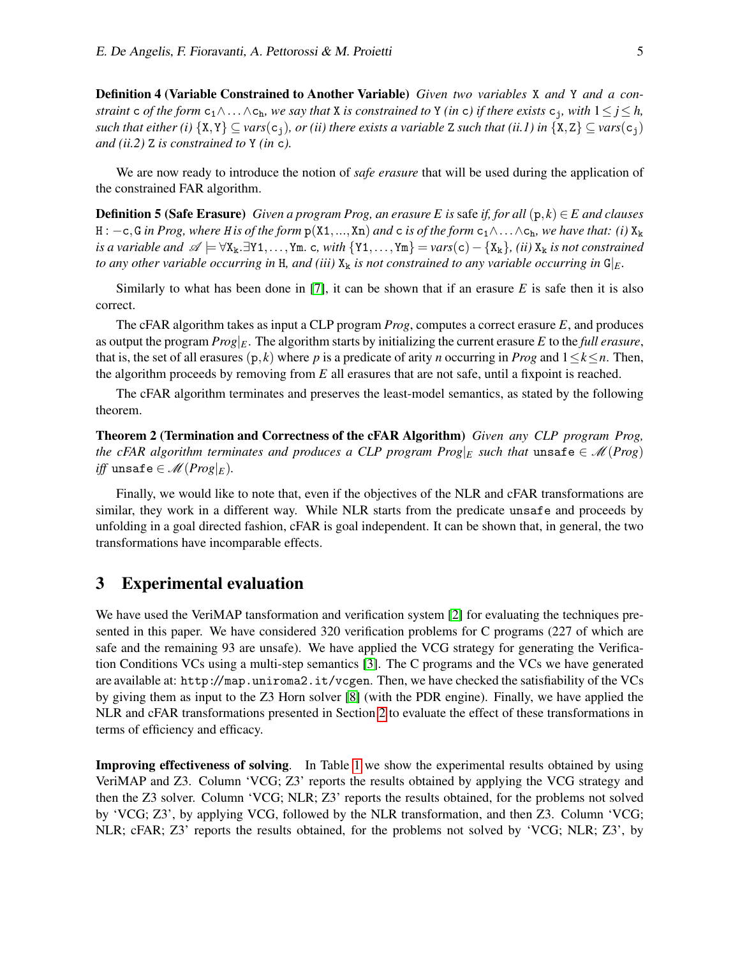Definition 4 (Variable Constrained to Another Variable) *Given two variables* X *and* Y *and a constraint* c *of the form*  $c_1 \wedge \ldots \wedge c_h$ *, we say that* X *is constrained to* Y *(in* c) *if there exists*  $c_j$ *, with*  $1 \leq j \leq h$ *, such that either (i)*  $\{X,Y\} \subseteq \text{vars}(c_1)$ *, or (ii) there exists a variable* Z *such that (ii.1) in*  $\{X,Z\} \subseteq \text{vars}(c_1)$ *and (ii.2)* Z *is constrained to* Y *(in* c*).*

We are now ready to introduce the notion of *safe erasure* that will be used during the application of the constrained FAR algorithm.

**Definition 5 (Safe Erasure)** *Given a program Prog, an erasure E is* safe *if, for all*  $(p, k) \in E$  *and clauses* H :  $-c$ , G *in Prog, where H is of the form*  $p(X1, ..., Xn)$  *and* c *is of the form*  $c_1 \wedge ... \wedge c_h$ *, we have that: (i)*  $X_k$ *is a variable and*  $\mathscr{A} \models \forall X_k. \exists Y1,..., Ym.$  c, with  $\{Y1,..., Ym\} = \text{vars}(c) - \{X_k\}$ , *(ii)*  $X_k$  *is not constrained to any other variable occurring in* H, and (iii)  $X_k$  *is not constrained to any variable occurring in*  $G|_E$ *.* 

Similarly to what has been done in [\[7\]](#page-6-3), it can be shown that if an erasure *E* is safe then it is also correct.

The cFAR algorithm takes as input a CLP program *Prog*, computes a correct erasure *E*, and produces as output the program *Prog*|*E*. The algorithm starts by initializing the current erasure *E* to the *full erasure*, that is, the set of all erasures  $(p, k)$  where *p* is a predicate of arity *n* occurring in *Prog* and  $1 \leq k \leq n$ . Then, the algorithm proceeds by removing from *E* all erasures that are not safe, until a fixpoint is reached.

The cFAR algorithm terminates and preserves the least-model semantics, as stated by the following theorem.

Theorem 2 (Termination and Correctness of the cFAR Algorithm) *Given any CLP program Prog, the cFAR algorithm terminates and produces a CLP program Prog*| $E$  *such that* unsafe  $\in \mathcal{M}(Prog)$ *iff* unsafe  $\in \mathcal{M}(Prog|_E)$ .

Finally, we would like to note that, even if the objectives of the NLR and cFAR transformations are similar, they work in a different way. While NLR starts from the predicate unsafe and proceeds by unfolding in a goal directed fashion, cFAR is goal independent. It can be shown that, in general, the two transformations have incomparable effects.

#### 3 Experimental evaluation

We have used the VeriMAP tansformation and verification system [\[2\]](#page-6-8) for evaluating the techniques presented in this paper. We have considered 320 verification problems for C programs (227 of which are safe and the remaining 93 are unsafe). We have applied the VCG strategy for generating the Verification Conditions VCs using a multi-step semantics [\[3\]](#page-6-0). The C programs and the VCs we have generated are available at: http://map.uniroma2.it/vcgen. Then, we have checked the satisfiability of the VCs by giving them as input to the Z3 Horn solver [\[8\]](#page-6-9) (with the PDR engine). Finally, we have applied the NLR and cFAR transformations presented in Section [2](#page-1-0) to evaluate the effect of these transformations in terms of efficiency and efficacy.

Improving effectiveness of solving. In Table [1](#page-5-0) we show the experimental results obtained by using VeriMAP and Z3. Column 'VCG; Z3' reports the results obtained by applying the VCG strategy and then the Z3 solver. Column 'VCG; NLR; Z3' reports the results obtained, for the problems not solved by 'VCG; Z3', by applying VCG, followed by the NLR transformation, and then Z3. Column 'VCG; NLR; cFAR; Z3' reports the results obtained, for the problems not solved by 'VCG; NLR; Z3', by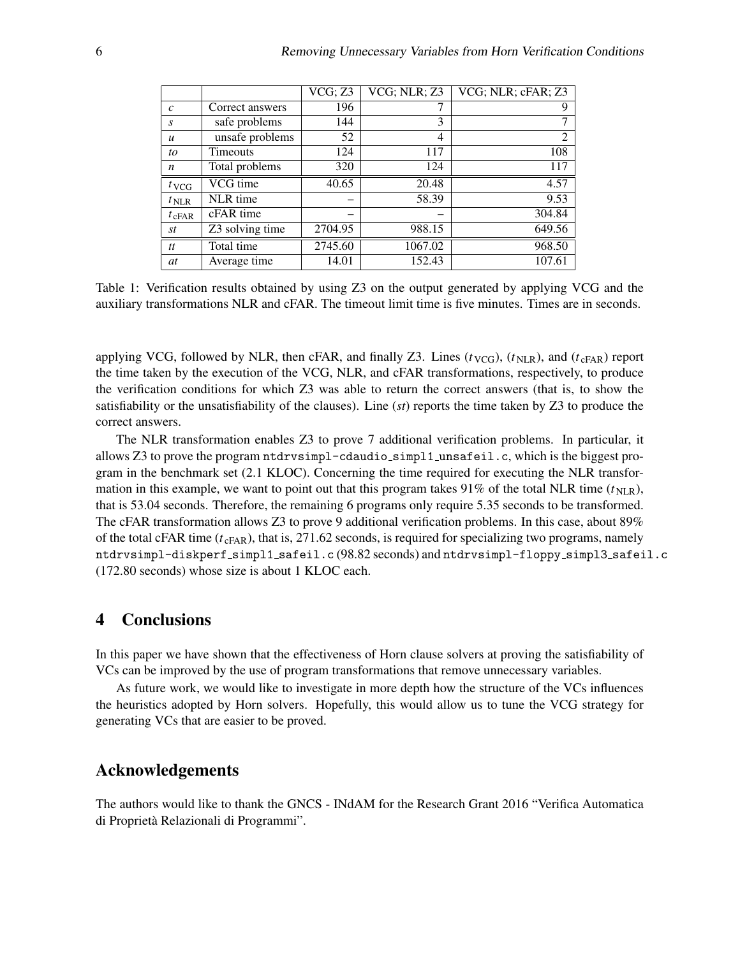|                  |                 | VCG; Z3 | VCG; NLR; Z3 | VCG; NLR; cFAR; Z3 |
|------------------|-----------------|---------|--------------|--------------------|
| $\mathcal{C}$    | Correct answers | 196     |              | 9                  |
| S                | safe problems   | 144     | 3            | 7                  |
| $\boldsymbol{u}$ | unsafe problems | 52      | 4            | 2                  |
| to               | <b>Timeouts</b> | 124     | 117          | 108                |
| n                | Total problems  | 320     | 124          | 117                |
| $t_{VCG}$        | VCG time        | 40.65   | 20.48        | 4.57               |
| $t_{\text{NLR}}$ | NLR time        |         | 58.39        | 9.53               |
| $t_{\rm cFAR}$   | cFAR time       |         |              | 304.84             |
| st               | Z3 solving time | 2704.95 | 988.15       | 649.56             |
| tt               | Total time      | 2745.60 | 1067.02      | 968.50             |
| at               | Average time    | 14.01   | 152.43       | 107.61             |

<span id="page-5-0"></span>Table 1: Verification results obtained by using Z3 on the output generated by applying VCG and the auxiliary transformations NLR and cFAR. The timeout limit time is five minutes. Times are in seconds.

applying VCG, followed by NLR, then cFAR, and finally Z3. Lines  $(t_{VCG})$ ,  $(t_{NLR})$ , and  $(t_{cFAR})$  report the time taken by the execution of the VCG, NLR, and cFAR transformations, respectively, to produce the verification conditions for which Z3 was able to return the correct answers (that is, to show the satisfiability or the unsatisfiability of the clauses). Line (*st*) reports the time taken by Z3 to produce the correct answers.

The NLR transformation enables Z3 to prove 7 additional verification problems. In particular, it allows Z3 to prove the program ntdrvsimpl-cdaudio simpl1 unsafeil.c, which is the biggest program in the benchmark set (2.1 KLOC). Concerning the time required for executing the NLR transformation in this example, we want to point out that this program takes 91% of the total NLR time  $(t_{NLR})$ , that is 53.04 seconds. Therefore, the remaining 6 programs only require 5.35 seconds to be transformed. The cFAR transformation allows Z3 to prove 9 additional verification problems. In this case, about 89% of the total cFAR time  $(t_{cFAR})$ , that is, 271.62 seconds, is required for specializing two programs, namely ntdrvsimpl-diskperf simpl1 safeil.c (98.82 seconds) and ntdrvsimpl-floppy simpl3 safeil.c (172.80 seconds) whose size is about 1 KLOC each.

### 4 Conclusions

In this paper we have shown that the effectiveness of Horn clause solvers at proving the satisfiability of VCs can be improved by the use of program transformations that remove unnecessary variables.

As future work, we would like to investigate in more depth how the structure of the VCs influences the heuristics adopted by Horn solvers. Hopefully, this would allow us to tune the VCG strategy for generating VCs that are easier to be proved.

#### Acknowledgements

The authors would like to thank the GNCS - INdAM for the Research Grant 2016 "Verifica Automatica di Proprieta Relazionali di Programmi". `